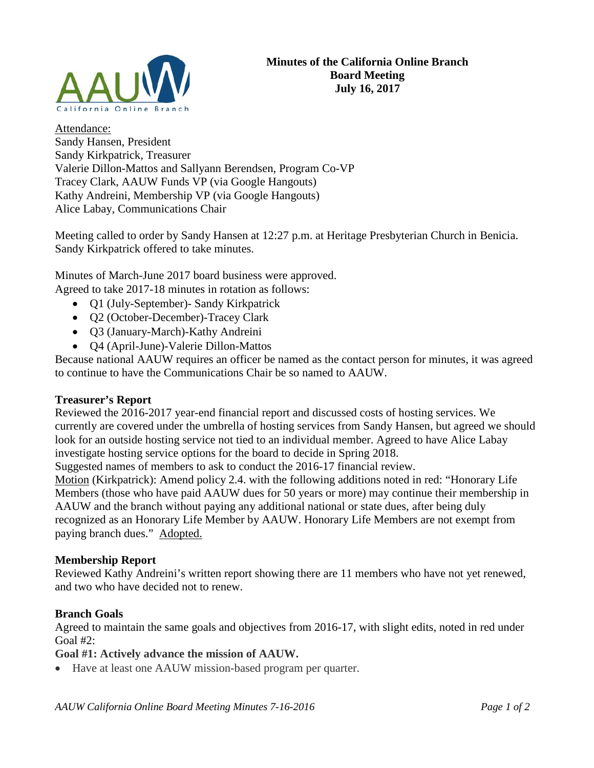

Attendance: Sandy Hansen, President Sandy Kirkpatrick, Treasurer Valerie Dillon-Mattos and Sallyann Berendsen, Program Co-VP Tracey Clark, AAUW Funds VP (via Google Hangouts) Kathy Andreini, Membership VP (via Google Hangouts) Alice Labay, Communications Chair

Meeting called to order by Sandy Hansen at 12:27 p.m. at Heritage Presbyterian Church in Benicia. Sandy Kirkpatrick offered to take minutes.

Minutes of March-June 2017 board business were approved. Agreed to take 2017-18 minutes in rotation as follows:

- Q1 (July-September)- Sandy Kirkpatrick
- Q2 (October-December)-Tracey Clark
- Q3 (January-March)-Kathy Andreini
- Q4 (April-June)-Valerie Dillon-Mattos

Because national AAUW requires an officer be named as the contact person for minutes, it was agreed to continue to have the Communications Chair be so named to AAUW.

#### **Treasurer's Report**

Reviewed the 2016-2017 year-end financial report and discussed costs of hosting services. We currently are covered under the umbrella of hosting services from Sandy Hansen, but agreed we should look for an outside hosting service not tied to an individual member. Agreed to have Alice Labay investigate hosting service options for the board to decide in Spring 2018.

Suggested names of members to ask to conduct the 2016-17 financial review.

Motion (Kirkpatrick): Amend policy 2.4. with the following additions noted in red: "Honorary Life Members (those who have paid AAUW dues for 50 years or more) may continue their membership in AAUW and the branch without paying any additional national or state dues, after being duly recognized as an Honorary Life Member by AAUW. Honorary Life Members are not exempt from paying branch dues." Adopted.

### **Membership Report**

Reviewed Kathy Andreini's written report showing there are 11 members who have not yet renewed, and two who have decided not to renew.

## **Branch Goals**

Agreed to maintain the same goals and objectives from 2016-17, with slight edits, noted in red under Goal #2:

**Goal #1: Actively advance the mission of AAUW.**

• Have at least one AAUW mission-based program per quarter.